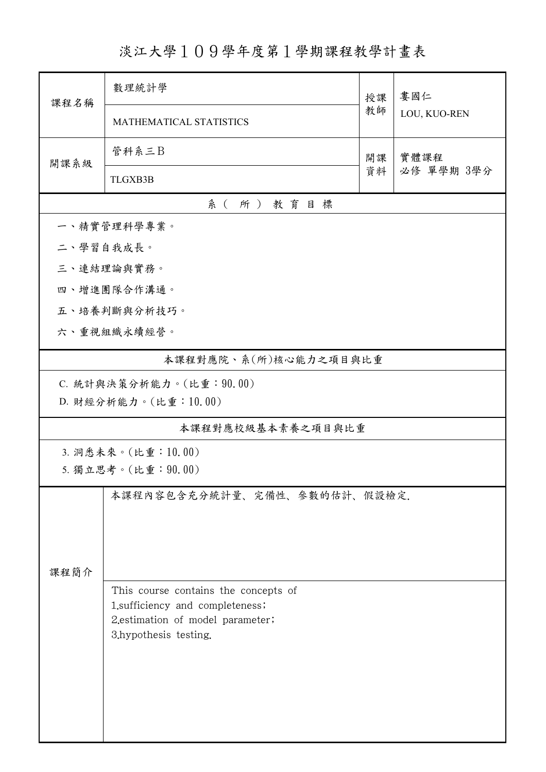## 淡江大學109學年度第1學期課程教學計畫表

| 課程名稱                     | 數理統計學                                                     |          | 婁國仁                |  |  |  |  |
|--------------------------|-----------------------------------------------------------|----------|--------------------|--|--|--|--|
|                          | MATHEMATICAL STATISTICS                                   | 授課<br>教師 | LOU, KUO-REN       |  |  |  |  |
| 開課系級                     | 管科系三B                                                     | 開課<br>資料 | 實體課程<br>必修 單學期 3學分 |  |  |  |  |
|                          | <b>TLGXB3B</b>                                            |          |                    |  |  |  |  |
| 系(所)教育目標                 |                                                           |          |                    |  |  |  |  |
|                          | 一、精實管理科學專業。                                               |          |                    |  |  |  |  |
| 二、學習自我成長。                |                                                           |          |                    |  |  |  |  |
| 三、連結理論與實務。               |                                                           |          |                    |  |  |  |  |
| 四、增進團隊合作溝通。              |                                                           |          |                    |  |  |  |  |
|                          | 五、培養判斷與分析技巧。                                              |          |                    |  |  |  |  |
| 六、重視組織永續經營。              |                                                           |          |                    |  |  |  |  |
| 本課程對應院、系(所)核心能力之項目與比重    |                                                           |          |                    |  |  |  |  |
| C. 統計與決策分析能力。(比重: 90.00) |                                                           |          |                    |  |  |  |  |
|                          | D. 財經分析能力。(比重:10.00)                                      |          |                    |  |  |  |  |
| 本課程對應校級基本素養之項目與比重        |                                                           |          |                    |  |  |  |  |
| 3. 洞悉未來。(比重:10.00)       |                                                           |          |                    |  |  |  |  |
| 5. 獨立思考。(比重: 90.00)      |                                                           |          |                    |  |  |  |  |
|                          | 本課程內容包含充分統計量、完備性、參數的估計、假設檢定.                              |          |                    |  |  |  |  |
|                          |                                                           |          |                    |  |  |  |  |
|                          |                                                           |          |                    |  |  |  |  |
| 課程簡介                     |                                                           |          |                    |  |  |  |  |
|                          | This course contains the concepts of                      |          |                    |  |  |  |  |
|                          | 1.sufficiency and completeness;                           |          |                    |  |  |  |  |
|                          | 2.estimation of model parameter;<br>3.hypothesis testing. |          |                    |  |  |  |  |
|                          |                                                           |          |                    |  |  |  |  |
|                          |                                                           |          |                    |  |  |  |  |
|                          |                                                           |          |                    |  |  |  |  |
|                          |                                                           |          |                    |  |  |  |  |
|                          |                                                           |          |                    |  |  |  |  |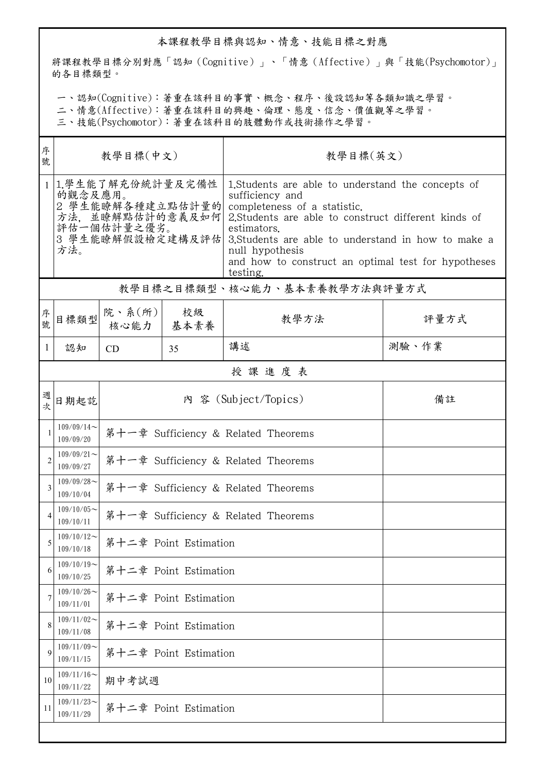## 本課程教學目標與認知、情意、技能目標之對應

將課程教學目標分別對應「認知(Cognitive)」、「情意(Affective)」與「技能(Psychomotor)」 的各目標類型。

一、認知(Cognitive):著重在該科目的事實、概念、程序、後設認知等各類知識之學習。

二、情意(Affective):著重在該科目的興趣、倫理、態度、信念、價值觀等之學習。

三、技能(Psychomotor):著重在該科目的肢體動作或技術操作之學習。

| 序<br>號         | 教學目標(中文)                                                                                     |                                     |    | 教學目標(英文)                                                                                                                                                                                                                                                                                                                                 |       |  |  |
|----------------|----------------------------------------------------------------------------------------------|-------------------------------------|----|------------------------------------------------------------------------------------------------------------------------------------------------------------------------------------------------------------------------------------------------------------------------------------------------------------------------------------------|-------|--|--|
|                | 1 1.學生能了解充份統計量及完備性<br>的觀念及應用。<br>2 學生能瞭解各種建立點估計量的 <br>評估一個估計量之優劣。<br>3 學生能瞭解假設檢定建構及評估<br>方法。 |                                     |    | 1. Students are able to understand the concepts of<br>sufficiency and<br>completeness of a statistic.<br>方法,並瞭解點估計的意義及如何 2.Students are able to construct different kinds of<br>estimators.<br>3. Students are able to understand in how to make a<br>null hypothesis<br>and how to construct an optimal test for hypotheses<br>testing. |       |  |  |
|                | 教學目標之目標類型、核心能力、基本素養教學方法與評量方式                                                                 |                                     |    |                                                                                                                                                                                                                                                                                                                                          |       |  |  |
| 序號             | 目標類型                                                                                         | 院、系 $(\kappa)$<br>核心能力   基本素養       | 校級 | 教學方法                                                                                                                                                                                                                                                                                                                                     | 評量方式  |  |  |
| 1              | 認知                                                                                           | <b>CD</b>                           | 35 | 講述                                                                                                                                                                                                                                                                                                                                       | 測驗、作業 |  |  |
|                | 授課進度表                                                                                        |                                     |    |                                                                                                                                                                                                                                                                                                                                          |       |  |  |
| 週<br>坎         | 日期起訖                                                                                         |                                     |    | 內 容 (Subject/Topics)                                                                                                                                                                                                                                                                                                                     | 備註    |  |  |
| 1              | $109/09/14$ ~<br>109/09/20                                                                   | 第十一章 Sufficiency & Related Theorems |    |                                                                                                                                                                                                                                                                                                                                          |       |  |  |
| $\overline{2}$ | $109/09/21$ ~<br>109/09/27                                                                   | 第十一章 Sufficiency & Related Theorems |    |                                                                                                                                                                                                                                                                                                                                          |       |  |  |
| 3              | $109/09/28$ ~<br>109/10/04                                                                   | 第十一章 Sufficiency & Related Theorems |    |                                                                                                                                                                                                                                                                                                                                          |       |  |  |
| $\overline{4}$ | $109/10/05$ ~<br>109/10/11                                                                   | 第十一章 Sufficiency & Related Theorems |    |                                                                                                                                                                                                                                                                                                                                          |       |  |  |
| 5              | $109/10/12$ ~<br>109/10/18                                                                   | 第十二章 Point Estimation               |    |                                                                                                                                                                                                                                                                                                                                          |       |  |  |
| 6              | $109/10/19$ ~<br>109/10/25                                                                   | 第十二章 Point Estimation               |    |                                                                                                                                                                                                                                                                                                                                          |       |  |  |
| 7              | $109/10/26$ ~<br>109/11/01                                                                   | 第十二章 Point Estimation               |    |                                                                                                                                                                                                                                                                                                                                          |       |  |  |
| 8              | $109/11/02$ ~<br>109/11/08                                                                   | 第十二章 Point Estimation               |    |                                                                                                                                                                                                                                                                                                                                          |       |  |  |
| 9              | $109/11/09$ ~<br>109/11/15                                                                   | 第十二章 Point Estimation               |    |                                                                                                                                                                                                                                                                                                                                          |       |  |  |
| 10             | $109/11/16$ ~<br>109/11/22                                                                   | 期中考試週                               |    |                                                                                                                                                                                                                                                                                                                                          |       |  |  |
| 11             | $109/11/23$ ~<br>109/11/29                                                                   | 第十二章 Point Estimation               |    |                                                                                                                                                                                                                                                                                                                                          |       |  |  |
|                |                                                                                              |                                     |    |                                                                                                                                                                                                                                                                                                                                          |       |  |  |